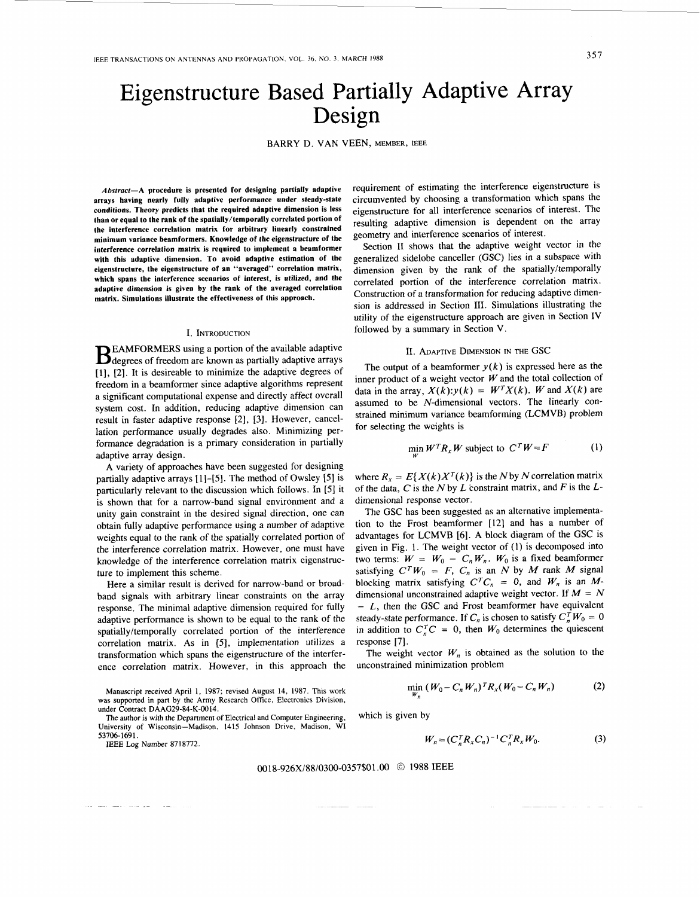# Eigenstructure Based Partially Adaptive Array Design

BARRY D. VAN VEEN, MEMBER, IEEE

*Abstract-A* **procedure is presented for designing partially adaptive arrays having nearly fully adaptive performance under steady-state conditions. Theory predicts that the required adaptive dimension is less than or equal to the rank of the spatially/temporally correlated portion of the interference correlation matrix for arbitrary linearly constrained minimum variance beamformers. Knowledge of the eigenstructure of the interference correlation matrix is required to implement a beamformer with this adaptive dimension. To avoid adaptive estimation of the eigenstructure, the eigenstructure of an "averaged" correlation matrix, which spans the interference scenarios of interest,** *is* **utilized, and the adaptive dimension is given by the rank of the averaged correlation matrix. Simulations illustrate the effectiveness of this approach.**

#### I. INTRODUCTION

EAMFORMERS using a portion of the available adaptive  $\mathbf{B}$  degrees of freedom are known as partially adaptive arrays [l], [2]. It is desireable to minimize the adaptive degrees of freedom in a beamformer since adaptive algorithms represent a significant computational expense and directly affect overall system cost. In addition, reducing adaptive dimension can result in faster adaptive response **[2],** [3]. However, cancellation performance usually degrades also. Minimizing performance degradation is a primary consideration in partially adaptive array design.

**A** variety of approaches have been suggested for designing partially adaptive arrays [ **11-[SI.** The method of Owsley *[5]*is particularly relevant to the discussion which follows. In [5] it is shown that for a narrow-band signal environment and a unity gain constraint in the desired signal direction, one can obtain fully adaptive performance using a number of adaptive weights equal to the rank of the spatially correlated portion of the interference correlation matrix. However, one must have knowledge of the interference correlation matrix eigenstructure to implement this scheme.

Here a similar result is derived for narrow-band or broadband signals with arbitrary linear constraints on the array response. The minimal adaptive dimension required for fully adaptive performance is shown to be equal to the rank of the spatially/temporally correlated portion of the interference correlation matrix. As in [5], implementation utilizes a transformation which spans the eigenstructure of the interference correlation matrix. However, in this approach the

Manuscript received April 1, 1987; revised August 14, 1987. This work **was** supported in part by the Army Research Office, Electronics Division, under Contract DAAG29-84-K-0014.

The author is with the Department of Electrical and Computer Engineering, University of Wisconsin-Madison. 1415 Johnson Drive, Madison, WI

53706-1691.<br>**IEEE Log Number 8718772.** 

requirement of estimating the interference eigenstructure is circumvented by choosing a transformation which spans the eigenstructure for all interference scenarios of interest. The resulting adaptive dimension is dependent on the array geometry and interference scenarios Of interest.

Section **I1** shows that the adaptive weight vector in the generalized sidelobe canceller (GSC) lies in a subspace with dimension given by the rank of the spatially/temporally correlated portion of the interference correlation matrix. Construction of a transformation for reducing adaptive dimension is addressed in Section **111.** Simulations illustrating the utility of the eigenstructure approach are given in Section IV followed by a summary in Section **V.**

## II. ADAPTIVE DIMENSION IN THE GSC

The output of a beamformer  $y(k)$  is expressed here as the inner product of a weight vector  $W$  and the total collection of data in the array,  $X(k):y(k) = W^T X(k)$ . *W* and  $X(k)$  are assumed to be N-dimensional vectors. The linearly constrained minimum variance beamforming (LCMVB) problem for selecting the weights is

$$
\min_{W} W^{T} R_{x} W \text{ subject to } C^{T} W = F \tag{1}
$$

where  $R_x = E{X(k)X^{T}(k)}$  is the *N* by *N* correlation matrix of the data, Cis the *N* by *L* constraint matrix, and *F* is the *L*dimensional response vector.

The GSC has been suggested as an alternative implementation to the Frost beamformer [12] and has a number of advantages for LCMVB **[6].** A block diagram of the GSC is given in [Fig.](#page-1-0) 1. The weight vector of (1) is decomposed into two terms:  $W = W_0 - C_n W_n$ .  $W_0$  is a fixed beamformer satisfying  $C^T W_0 = F$ ,  $C_n$  is an N by M rank M signal blocking matrix satisfying  $C^T C_n = 0$ , and  $W_n$  is an Mdimensional unconstrained adaptive weight vector. If *M* = *N*  - *<sup>L</sup> ,* then the GSC and Frost beamformer have equivalent steady-state performance. If  $C_n$  is chosen to satisfy  $C_n^T W_0 = 0$ in addition to  $C_n^T C = 0$ , then  $W_0$  determines the quiescent response [7].

The weight vector  $W_n$  is obtained as the solution to the unconstrained minimization problem

$$
\min_{W_n} (W_0 - C_n W_n)^T R_x (W_0 - C_n W_n)
$$
 (2)

which is given by

$$
W_n = (C_n^T R_x C_n)^{-1} C_n^T R_x W_0.
$$
 (3)

#### 0018-926X/88/0300-0357\$01*.OO O* 1988 IEEE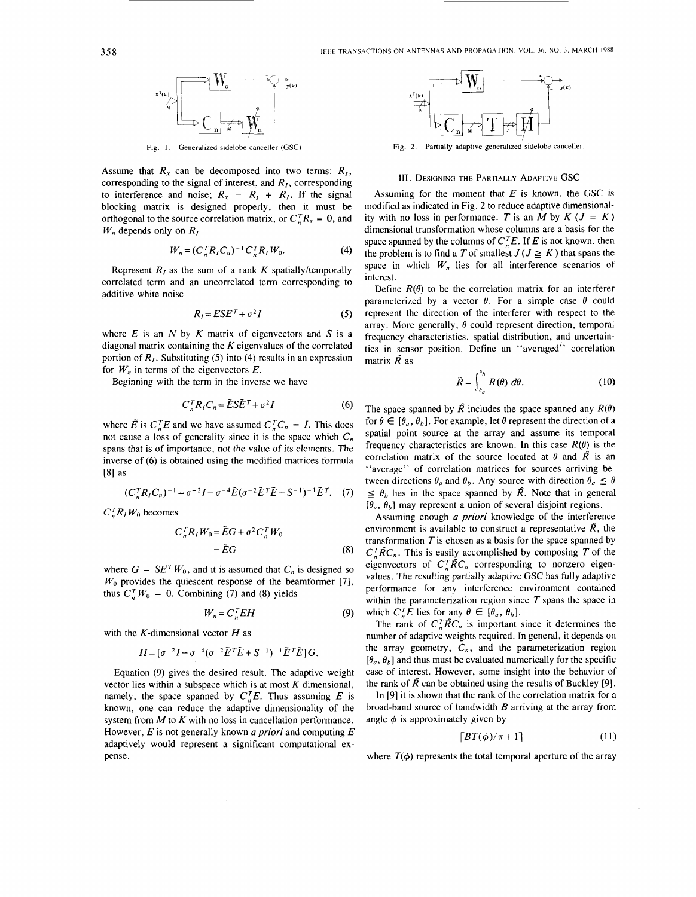<span id="page-1-0"></span>

**Fig.** 1. **Generalized sidelobe canceller (GSC).**

Assume that  $R<sub>x</sub>$  can be decomposed into two terms:  $R<sub>s</sub>$ , corresponding to the signal of interest, and  $R<sub>I</sub>$ , corresponding to interference and noise;  $R_x = R_s + R_l$ . If the signal blocking matrix is designed properly, then it must be orthogonal to the source correlation matrix, or  $C_{n}^{T}R_{s} = 0$ , and *W,,*depends only on *RI*

$$
W_n = (C_n^T R_l C_n)^{-1} C_n^T R_l W_0.
$$
 (4)

Represent  $R<sub>I</sub>$  as the sum of a rank  $K$  spatially/temporally correlated term and an uncorrelated term corresponding to additive white noise

$$
R_I = ESE^T + \sigma^2 I \tag{5}
$$

where  $E$  is an  $N$  by  $K$  matrix of eigenvectors and  $S$  is a diagonal matrix containing the *K* eigenvalues of the correlated portion of  $R<sub>1</sub>$ . Substituting (5) into (4) results in an expression for  $W_n$  in terms of the eigenvectors  $E$ .

Beginning with the term in the inverse we have

$$
C_n^T R_I C_n = \tilde{E} S \tilde{E}^T + \sigma^2 I \tag{6}
$$

where  $\tilde{E}$  is  $C_{n}^{T}E$  and we have assumed  $C_{n}^{T}C_{n} = I$ . This does not cause a loss of generality since it is the space which *C,* spans that is of importance, not the value of its elements. The inverse of **(6)** is obtained using the modified matrices formula *[81* as

$$
(C_{n}^{T}R_{I}C_{n})^{-1} = \sigma^{-2}I - \sigma^{-4}\tilde{E}(\sigma^{-2}\tilde{E}^{T}\tilde{E} + S^{-1})^{-1}\tilde{E}^{T}.
$$
 (7)

 $C_n^TR_jW_0$  becomes

$$
C_n^T R_I W_0 = \tilde{E} G + \sigma^2 C_n^T W_0
$$
  
=  $\tilde{E} G$  (8)

where  $G = SE^{T}W_0$ , and it is assumed that  $C_n$  is designed so  $W_0$  provides the quiescent response of the beamformer [7], thus  $C_n^T W_0 = 0$ . Combining (7) and (8) yields

$$
W_n = C_n^T E H \tag{9}
$$

with the K-dimensional vector  $H$  as

$$
H = \left[\sigma^{-2}I - \sigma^{-4}(\sigma^{-2}\tilde{E}^T\tilde{E} + S^{-1})^{-1}\tilde{E}^T\tilde{E}\right]G.
$$

Equation (9) gives the desired result. The adaptive weight vector lies within a subspace which is at most  $K$ -dimensional, namely, the space spanned by  $C_n^T E$ . Thus assuming *E* is known, one can reduce the adaptive dimensionality of the system from *M* to *K* with no loss in cancellation performance. However, *E* is not generally known *a priori* and computing *E* adaptively would represent a significant computational expense.



**Fig. 2. Partially adaptive generalized sidelobe canceller.**

## **111.** DESIGNING THE PARTIALLY ADAPTIVE GSC

Assuming for the moment that  $E$  is known, the GSC is modified as indicated in Fig. *2* to reduce adaptive dimensionality with no loss in performance. *T* is an *M* by  $K (J = K)$ dimensional transformation whose columns are a basis for the space spanned by the columns of  $C_{n}^{T}E$ . If *E* is not known, then the problem is to find a T of smallest  $J(J \geq K)$  that spans the space in which  $W_n$  lies for all interference scenarios of interest.

Define  $R(\theta)$  to be the correlation matrix for an interferer parameterized by a vector  $\theta$ . For a simple case  $\theta$  could represent the direction of the interferer with respect to the array. More generally,  $\theta$  could represent direction, temporal frequency characteristics, spatial distribution, and uncertainties in sensor position. Define an "averaged" correlation matrix *R* as

$$
\hat{R} = \int_{\theta_a}^{\theta_b} R(\theta) \ d\theta. \tag{10}
$$

 $(C_{n}^{T}R_{I}C_{n})^{-1} = \sigma^{-2}I - \sigma^{-4}\tilde{E}(\sigma^{-2}\tilde{E}^{T}\tilde{E} + S^{-1})^{-1}\tilde{E}^{T}$ . (7)  $\leq \theta_{b}$  lies in the space spanned by  $\hat{R}$ . Note that in general The space spanned by  $\hat{R}$  includes the space spanned any  $R(\theta)$ for  $\theta \in [\theta_a, \theta_b]$ . For example, let  $\theta$  represent the direction of a spatial point source at the array and assume its temporal frequency characteristics are known. In this case  $R(\theta)$  is the correlation matrix of the source located at  $\theta$  and  $\hat{R}$  is an "average" of correlation matrices for sources arriving between directions  $\theta_a$  and  $\theta_b$ . Any source with direction  $\theta_a \leq \theta$  $[\theta_a, \theta_b]$  may represent a union of several disjoint regions.

> Assuming enough *a priori* knowledge of the interference environment is available to construct a representative  $\hat{R}$ , the transformation  $T$  is chosen as a basis for the space spanned by  $C_n^T \hat{R} C_n$ . This is easily accomplished by composing T of the eigenvectors of  $C_{n}^{T} \hat{R} C_{n}$  corresponding to nonzero eigenvalues. The resulting partially adaptive GSC has fully adaptive performance for any interference environment contained within the parameterization region since  $T$  spans the space in which  $C_n^T E$  lies for any  $\theta \in [\theta_a, \theta_b]$ .

> The rank of  $C_n^T \hat{R} C_n$  is important since it determines the number of adaptive weights required. In general, it depends on the array geometry,  $C_n$ , and the parameterization region  $[\theta_a, \theta_b]$  and thus must be evaluated numerically for the specific case of interest. However, some insight into the behavior of the rank of  $\hat{R}$  can be obtained using the results of Buckley [9].

> In *[9]*it is shown that the rank of the correlation matrix for a broad-band source of bandwidth *B* arriving at the array from angle  $\phi$  is approximately given by

$$
\lceil BT(\phi)/\pi + 1 \rceil \tag{11}
$$

where  $T(\phi)$  represents the total temporal aperture of the array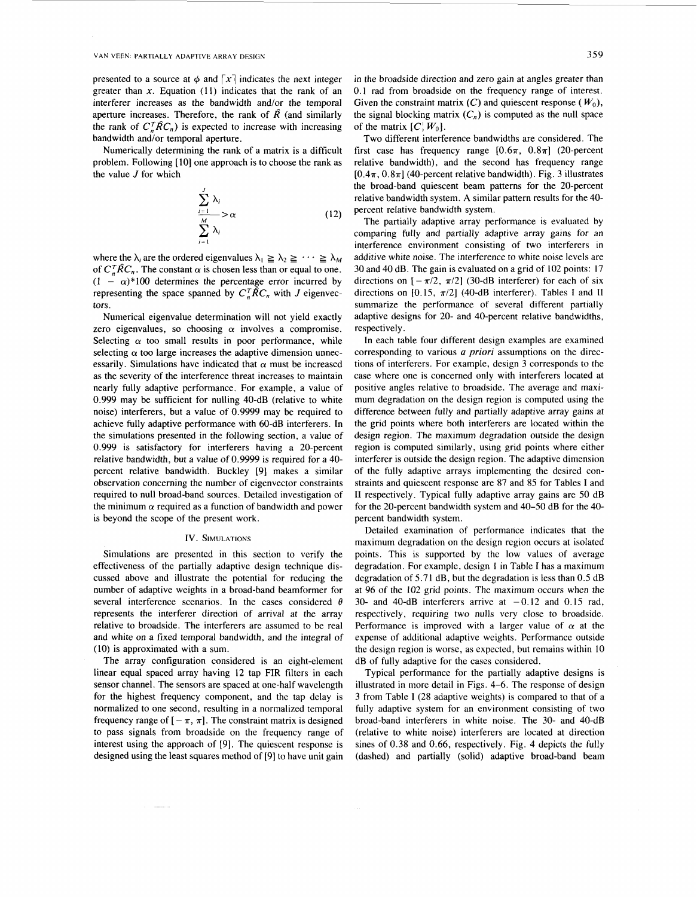presented to a source at  $\phi$  and  $\lceil x \rceil$  indicates the next integer greater than  $x$ . Equation (11) indicates that the rank of an interferer increases as the bandwidth and/or the temporal aperture increases. Therefore, the rank of  $\hat{R}$  (and similarly the rank of  $C_n^T \hat{R} C_n$ ) is expected to increase with increasing bandwidth and/or temporal aperture.

Numerically determining the rank of a matrix is a difficult problem. Following [10] one approach is to choose the rank as the value *J* for which

$$
\sum_{\substack{i=1 \ i \neq j}}^{j} \lambda_i
$$
\n
$$
\sum_{i=1}^{j} \lambda_i
$$
\n(12)

where the  $\lambda_i$  are the ordered eigenvalues  $\lambda_1 \geq \lambda_2 \geq \cdots \geq \lambda_M$ of  $C_{n}^{T} \hat{R} C_{n}$ . The constant  $\alpha$  is chosen less than or equal to one.  $(1 - \alpha)^*100$  determines the percentage error incurred by representing the space spanned by  $C_n^T\hat{R}C_n$  with *J* eigenvectors.

Numerical eigenvalue determination will not yield exactly zero eigenvalues, so choosing  $\alpha$  involves a compromise. Selecting  $\alpha$  too small results in poor performance, while selecting  $\alpha$  too large increases the adaptive dimension unnecessarily. Simulations have indicated that  $\alpha$  must be increased as the severity of the interference threat increases to maintain nearly fully adaptive performance. For example, a value of 0.999 may be sufficient for nulling 40-dB (relative to white noise) interferers, but a value of 0.9999 may be required to achieve fully adaptive performance with 60-dB interferers. In the simulations presented in the following section, a value of 0.999 is satisfactory for interferers having a 20-percent relative bandwidth, but a value of 0.9999 is required for a 40 percent relative bandwidth. Buckley [9] makes a similar observation concerning the number of eigenvector constraints required to null broad-band sources. Detailed investigation of the minimum  $\alpha$  required as a function of bandwidth and power is beyond the scope of the present work.

#### IV. SIMULATIONS

Simulations are presented in this section to verify the effectiveness of the partially adaptive design technique discussed above and illustrate the potential for reducing the number of adaptive weights in a broad-band beamformer for several interference scenarios. In the cases considered  $\theta$ represents the interferer direction of arrival at the array relative to broadside. The interferers are assumed to be real and white on a fixed temporal bandwidth, and the integral of  $(10)$  is approximated with a sum.

The array configuration considered is an eight-element linear equal spaced array having 12 tap FIR filters in each sensor channel. The sensors are spaced at one-half wavelength for the highest frequency component, and the tap delay is normalized to one second, resulting in a normalized temporal frequency range of  $[-\pi,\pi]$ . The constraint matrix is designed to pass signals from broadside on the frequency range of interest using the approach of [9]. The quiescent response is designed using the least squares method of [9] to have unit gain in the broadside direction and zero gain at angles greater than 0.1 rad from broadside on the frequency range of interest. Given the constraint matrix  $(C)$  and quiescent response  $(W_0)$ , the signal blocking matrix  $(C_n)$  is computed as the null space of the matrix  $[C, W_0]$ .

Two different interference bandwidths are considered. The first case has frequency range  $[0.6\pi, 0.8\pi]$  (20-percent relative bandwidth), and the second has frequency range  $[0.4\pi, 0.8\pi]$  (40-percent relative bandwidth). [Fig.](#page-3-0) 3 illustrates the broad-band quiescent beam patterns for the 20-percent relative bandwidth system. **A** similar pattern results for the 40 percent relative bandwidth system.

The partially adaptive array performance is evaluated by comparing fully and partially adaptive array gains for an interference environment consisting of two interferers in additive white noise. The interference to white noise levels are 30 and 40 dB. The gain is evaluated on a grid of 102 points: 17 directions on  $[-\pi/2, \pi/2]$  (30-dB interferer) for each of six directions on [0.15, a/2] (40-dB interferer). Tables **I** and I1 summarize the performance of several different partially adaptive designs for 20- and 40-percent relative bandwidths, respectively.

In each table four different design examples are examined corresponding to various *a priori* assumptions on the directions of interferers. For example, design 3 corresponds **to** the case where one is concerned only with interferers located at positive angles relative to broadside. The average and maximum degradation on the design region is computed using the difference between fully and partially adaptive array gains at the grid points where both interferers are located within the design region. The maximum degradation outside the design region is computed similarly, using grid points where either interferer is outside the design region. The adaptive dimension of the fully adaptive arrays implementing the desired constraints and quiescent response are 87 and **85** for Tables **I** and **I1** respectively. Typical fully adaptive array gains are 50 dB for the 20-percent bandwidth system and 40-50 dB for the 40 percent bandwidth system.

Detailed examination of performance indicates that the maximum degradation on the design region occurs at isolated points. This is supported by the low values of average degradation. For example, design **<sup>1</sup>**in Table **I** has a maximum degradation of 5.71 dB, but the degradation is less than 0.5 dB at 96 of the 102 grid points. The maximum occurs when the 30- and 40-dB interferers arrive at  $-0.12$  and 0.15 rad, respectively, requiring two nulls very close to broadside. Performance is improved with a larger value of  $\alpha$  at the expense of additional adaptive weights. Performance outside the design region is worse, as expected, but remains within 10 dB of fully adaptive for the cases considered.

Typical performance for the partially adaptive designs is illustrated in more detail in Figs. 4-6. The response of design 3 from Table **I** (28 adaptive weights) is compared to that of a fully adaptive system for an environment consisting of two broad-band interferers in white noise. The 30- and 40-dB (relative to white noise) interferers are located at direction sines of 0.38 and 0.66, respectively. Fig. 4 depicts the fully (dashed) and partially (solid) adaptive broad-band beam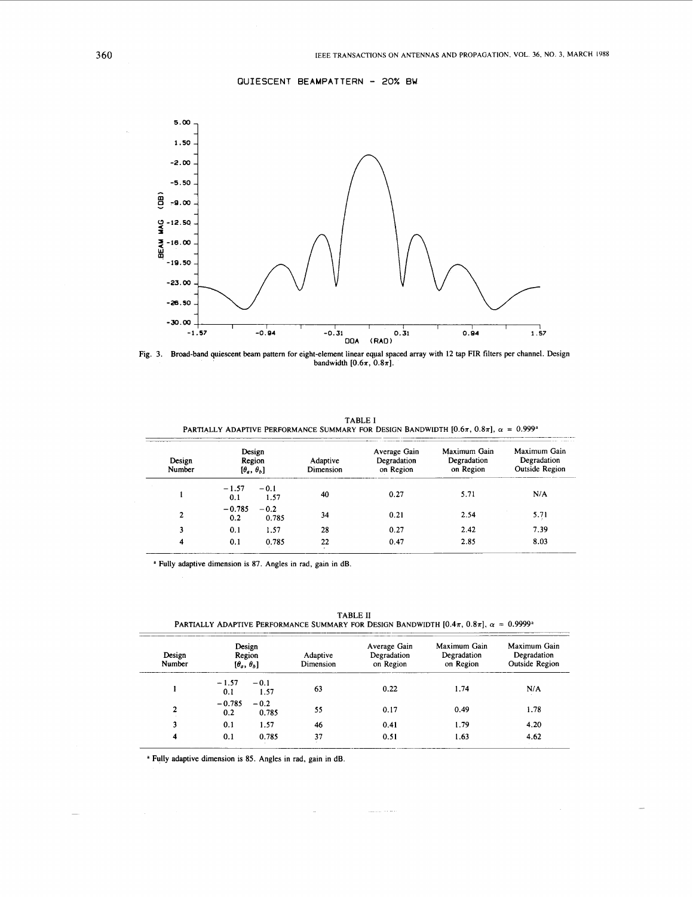**QUIESCENT BEAMPATTERN** - 20% **BW**

<span id="page-3-0"></span>

Broad-band quiescent beam pattern for eight-element linear eqpal spaced array with 12 tap FIR filters per channel. Design Fig. 3. Broad-band quiescent beam pattern for eight-element linear equal space bandwidth  $[0.6\pi, 0.8\pi]$ .

| Design<br>Number | Design<br>Region<br>$\{\theta_a, \theta_b\}$ |                 | Adaptive<br>Dimension | Average Gain<br>Degradation<br>on Region | Maximum Gain<br>Degradation<br>on Region | Maximum Gain<br>Degradation<br>Outside Region |
|------------------|----------------------------------------------|-----------------|-----------------------|------------------------------------------|------------------------------------------|-----------------------------------------------|
|                  | $-1.57$<br>0.1                               | $-0.1$<br>1.57  | 40                    | 0.27                                     | 5.71                                     | N/A                                           |
| $\overline{2}$   | $-0.785$<br>0.2                              | $-0.2$<br>0.785 | 34                    | 0.21                                     | 2.54                                     | 5.71                                          |
| 3                | 0.1                                          | 1.57            | 28                    | 0.27                                     | 2.42                                     | 7.39                                          |
| 4                | 0.1                                          | 0.785           | 22                    | 0.47                                     | 2.85                                     | 8.03                                          |

<sup>a</sup> Fully adaptive dimension is 87. Angles in rad, gain in dB.

Design Average Gain Maximum Gain Maximum Gain Design Region Adaptive Degradation Degradation<br>
Number [ $\theta_a$ ,  $\theta_b$ ] Dimension on Region on Region **Outside Region**  $-1.57 -0.1$ <br>  $0.1$  1.57 63  $-0.785 -0.2$ <br>0.2 0.78 2  $\begin{array}{cccc} -0.785 & -0.2 \\ 0.2 & 0.785 \end{array}$  55 3 0.1 1.57 46 4 0.1 0.785 37 0.22 1.74 N/A 0.17 0.49 1.78 0.41 I .79 4.20 **0.51** I .63 4.62

المرابين المتحملين

TABLE **I1**  PARTIALLY ADAPTIVE PERFORMANCE SUMMARY FOR DESIGN BANDWIDTH  $[0.4\pi, 0.8\pi]$ ,  $\alpha = 0.9999$ <sup>\*</sup>

**<sup>a</sup>**Fully adaptive dimension is 85. Angles in rad, gain in dB.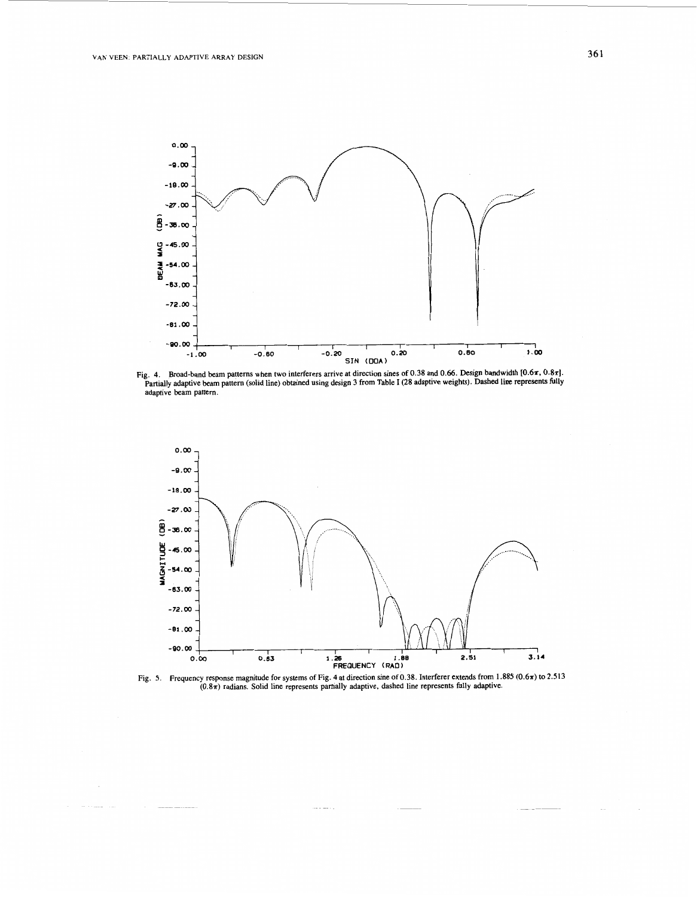





Fig. 5. Frequency response magnitude for systems of Fig. 4 at direction sine of 0.38. Interferer extends from 1.885 (0.6 $\pi$ ) to 2.513 (0.8 $\pi$ ) radians. Solid line represents partially adaptive, dashed line represents fu